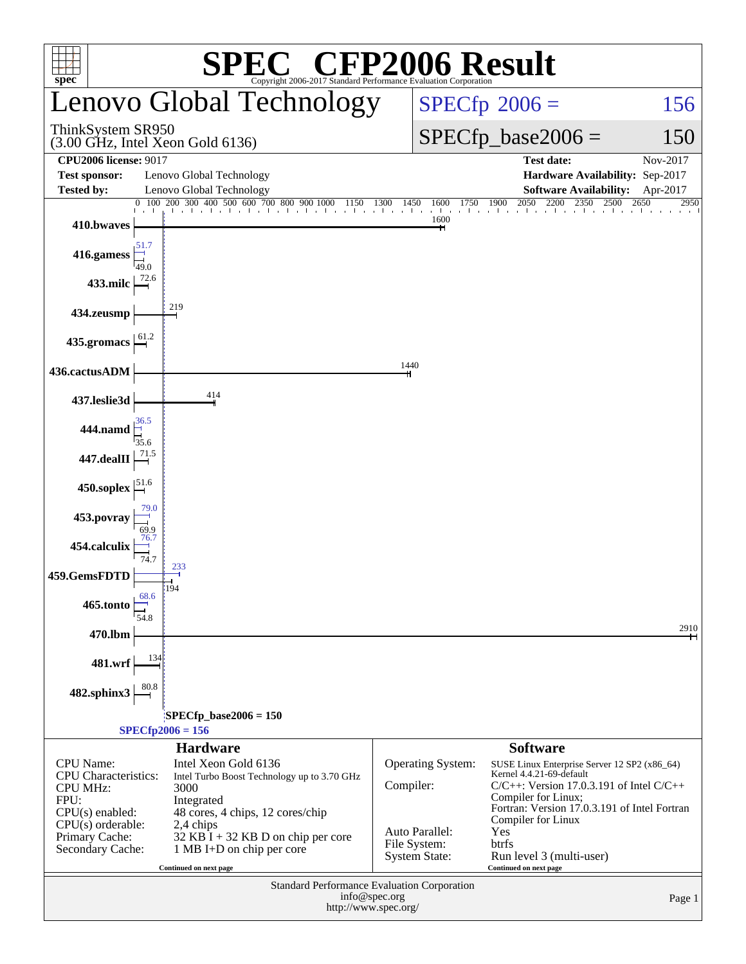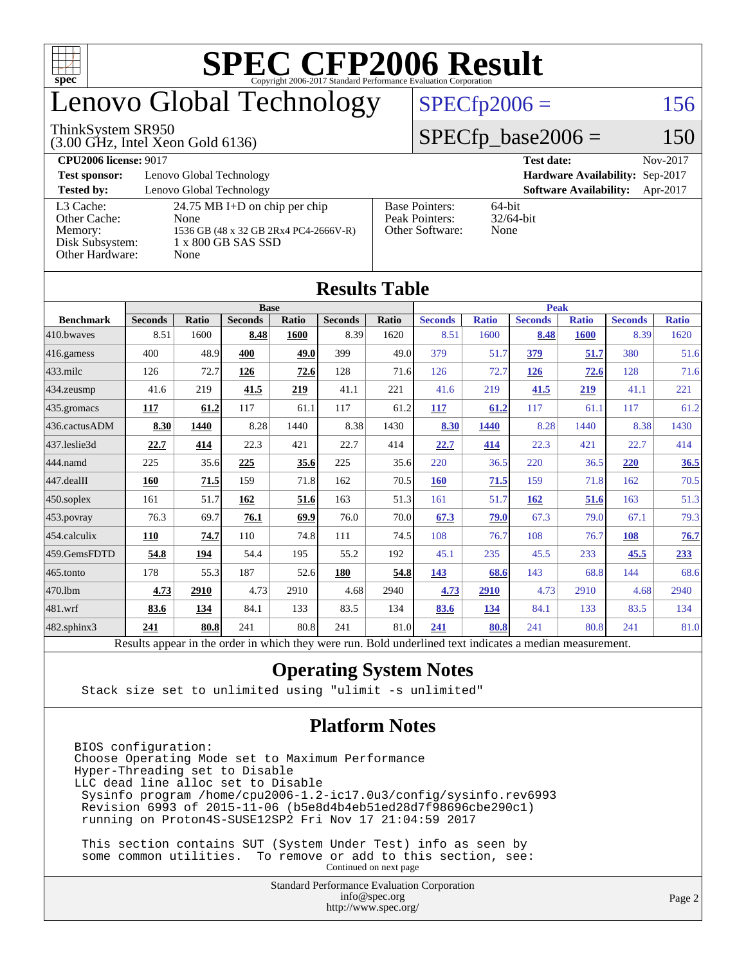

### enovo Global Technology

#### ThinkSystem SR950

(3.00 GHz, Intel Xeon Gold 6136)

 $SPECfp2006 = 156$  $SPECfp2006 = 156$ 

#### $SPECfp\_base2006 = 150$

**[CPU2006 license:](http://www.spec.org/auto/cpu2006/Docs/result-fields.html#CPU2006license)** 9017 **[Test date:](http://www.spec.org/auto/cpu2006/Docs/result-fields.html#Testdate)** Nov-2017 **[Test sponsor:](http://www.spec.org/auto/cpu2006/Docs/result-fields.html#Testsponsor)** Lenovo Global Technology **[Hardware Availability:](http://www.spec.org/auto/cpu2006/Docs/result-fields.html#HardwareAvailability)** Sep-2017 **[Tested by:](http://www.spec.org/auto/cpu2006/Docs/result-fields.html#Testedby)** Lenovo Global Technology **[Software Availability:](http://www.spec.org/auto/cpu2006/Docs/result-fields.html#SoftwareAvailability)** Apr-2017 [L3 Cache:](http://www.spec.org/auto/cpu2006/Docs/result-fields.html#L3Cache) 24.75 MB I+D on chip per chip<br>Other Cache: None [Other Cache:](http://www.spec.org/auto/cpu2006/Docs/result-fields.html#OtherCache) [Memory:](http://www.spec.org/auto/cpu2006/Docs/result-fields.html#Memory) 1536 GB (48 x 32 GB 2Rx4 PC4-2666V-R) [Disk Subsystem:](http://www.spec.org/auto/cpu2006/Docs/result-fields.html#DiskSubsystem) 1 x 800 GB SAS SSD [Other Hardware:](http://www.spec.org/auto/cpu2006/Docs/result-fields.html#OtherHardware) None [Base Pointers:](http://www.spec.org/auto/cpu2006/Docs/result-fields.html#BasePointers) 64-bit<br>Peak Pointers: 32/64-bit [Peak Pointers:](http://www.spec.org/auto/cpu2006/Docs/result-fields.html#PeakPointers) [Other Software:](http://www.spec.org/auto/cpu2006/Docs/result-fields.html#OtherSoftware) None

| Results Table    |                                                                                                          |              |                |              |                |       |                |              |                |              |                |              |
|------------------|----------------------------------------------------------------------------------------------------------|--------------|----------------|--------------|----------------|-------|----------------|--------------|----------------|--------------|----------------|--------------|
|                  | <b>Base</b>                                                                                              |              |                |              |                |       | <b>Peak</b>    |              |                |              |                |              |
| <b>Benchmark</b> | <b>Seconds</b>                                                                                           | <b>Ratio</b> | <b>Seconds</b> | <b>Ratio</b> | <b>Seconds</b> | Ratio | <b>Seconds</b> | <b>Ratio</b> | <b>Seconds</b> | <b>Ratio</b> | <b>Seconds</b> | <b>Ratio</b> |
| $410$ .bwayes    | 8.51                                                                                                     | 1600         | 8.48           | 1600         | 8.39           | 1620  | 8.51           | 1600         | 8.48           | <b>1600</b>  | 8.39           | 1620         |
| $416$ .gamess    | 400                                                                                                      | 48.9         | 400            | 49.0         | 399            | 49.0  | 379            | 51.7         | 379            | 51.7         | 380            | 51.6         |
| $ 433$ .milc     | 126                                                                                                      | 72.7         | 126            | 72.6         | 128            | 71.6  | 126            | 72.7         | 126            | 72.6         | 128            | 71.6         |
| 434.zeusmp       | 41.6                                                                                                     | 219          | 41.5           | 219          | 41.1           | 221   | 41.6           | 219          | 41.5           | 219          | 41.1           | 221          |
| $435$ .gromacs   | 117                                                                                                      | 61.2         | 117            | 61.1         | 117            | 61.2  | 117            | 61.2         | 117            | 61.1         | 117            | 61.2         |
| 436.cactusADM    | 8.30                                                                                                     | 1440         | 8.28           | 1440         | 8.38           | 1430  | 8.30           | 1440         | 8.28           | 1440         | 8.38           | 1430         |
| 437.leslie3d     | 22.7                                                                                                     | 414          | 22.3           | 421          | 22.7           | 414   | 22.7           | 414          | 22.3           | 421          | 22.7           | 414          |
| 444.namd         | 225                                                                                                      | 35.6         | 225            | 35.6         | 225            | 35.6  | 220            | 36.5         | 220            | 36.5         | 220            | 36.5         |
| $447$ .dealII    | 160                                                                                                      | 71.5         | 159            | 71.8         | 162            | 70.5  | 160            | 71.5         | 159            | 71.8         | 162            | 70.5         |
| $450$ .soplex    | 161                                                                                                      | 51.7         | 162            | 51.6         | 163            | 51.3  | 161            | 51.7         | 162            | 51.6         | 163            | 51.3         |
| 453.povray       | 76.3                                                                                                     | 69.7         | 76.1           | 69.9         | 76.0           | 70.0  | 67.3           | 79.0         | 67.3           | 79.0         | 67.1           | 79.3         |
| $454$ .calculix  | 110                                                                                                      | 74.7         | 110            | 74.8         | 111            | 74.5  | 108            | 76.7         | 108            | 76.7         | 108            | 76.7         |
| 459.GemsFDTD     | 54.8                                                                                                     | 194          | 54.4           | 195          | 55.2           | 192   | 45.1           | 235          | 45.5           | 233          | 45.5           | 233          |
| 465.tonto        | 178                                                                                                      | 55.3         | 187            | 52.6         | 180            | 54.8  | 143            | 68.6         | 143            | 68.8         | 144            | 68.6         |
| 470.1bm          | 4.73                                                                                                     | 2910         | 4.73           | 2910         | 4.68           | 2940  | 4.73           | 2910         | 4.73           | 2910         | 4.68           | 2940         |
| 481.wrf          | 83.6                                                                                                     | 134          | 84.1           | 133          | 83.5           | 134   | 83.6           | 134          | 84.1           | 133          | 83.5           | 134          |
| 482.sphinx3      | 241                                                                                                      | 80.8         | 241            | 80.8         | 241            | 81.0  | 241            | 80.8         | 241            | 80.8         | 241            | 81.0         |
|                  | Results appear in the order in which they were run. Bold underlined text indicates a median measurement. |              |                |              |                |       |                |              |                |              |                |              |

#### **[Results Table](http://www.spec.org/auto/cpu2006/Docs/result-fields.html#ResultsTable)**

#### **[Operating System Notes](http://www.spec.org/auto/cpu2006/Docs/result-fields.html#OperatingSystemNotes)**

Stack size set to unlimited using "ulimit -s unlimited"

#### **[Platform Notes](http://www.spec.org/auto/cpu2006/Docs/result-fields.html#PlatformNotes)**

BIOS configuration: Choose Operating Mode set to Maximum Performance Hyper-Threading set to Disable LLC dead line alloc set to Disable Sysinfo program /home/cpu2006-1.2-ic17.0u3/config/sysinfo.rev6993 Revision 6993 of 2015-11-06 (b5e8d4b4eb51ed28d7f98696cbe290c1) running on Proton4S-SUSE12SP2 Fri Nov 17 21:04:59 2017

 This section contains SUT (System Under Test) info as seen by some common utilities. To remove or add to this section, see: Continued on next page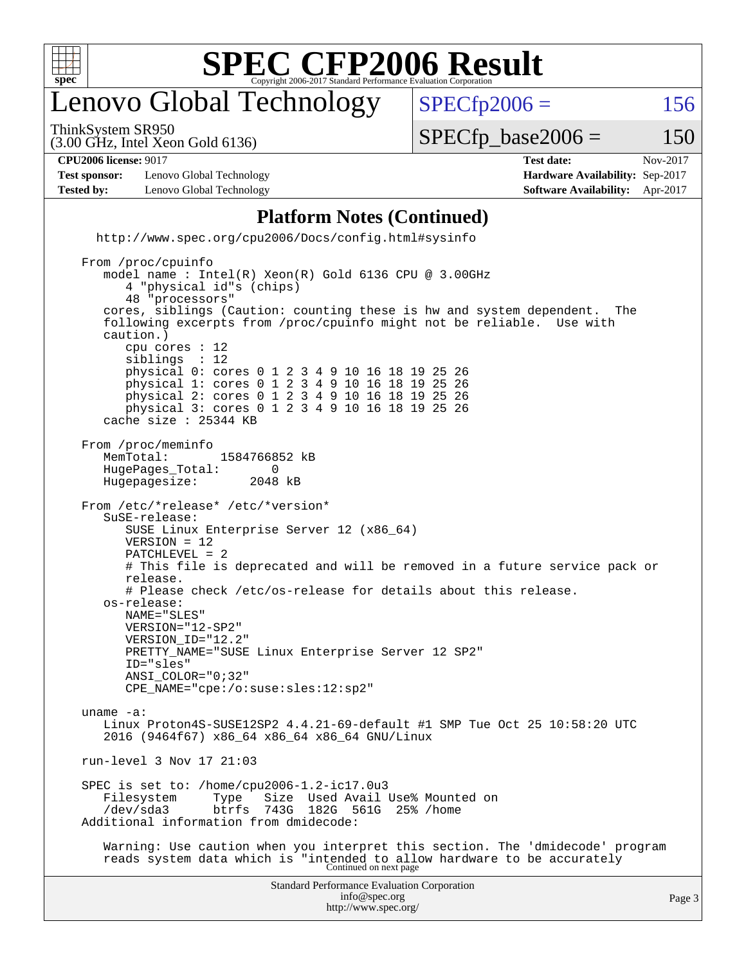

### enovo Global Technology

ThinkSystem SR950

 $SPECTp2006 = 156$ 

(3.00 GHz, Intel Xeon Gold 6136)

 $SPECTp\_base2006 = 150$ 

**[Test sponsor:](http://www.spec.org/auto/cpu2006/Docs/result-fields.html#Testsponsor)** Lenovo Global Technology **[Hardware Availability:](http://www.spec.org/auto/cpu2006/Docs/result-fields.html#HardwareAvailability)** Sep-2017 **[Tested by:](http://www.spec.org/auto/cpu2006/Docs/result-fields.html#Testedby)** Lenovo Global Technology **[Software Availability:](http://www.spec.org/auto/cpu2006/Docs/result-fields.html#SoftwareAvailability)** Apr-2017

**[CPU2006 license:](http://www.spec.org/auto/cpu2006/Docs/result-fields.html#CPU2006license)** 9017 **[Test date:](http://www.spec.org/auto/cpu2006/Docs/result-fields.html#Testdate)** Nov-2017

#### **[Platform Notes \(Continued\)](http://www.spec.org/auto/cpu2006/Docs/result-fields.html#PlatformNotes)**

 <http://www.spec.org/cpu2006/Docs/config.html#sysinfo> From /proc/cpuinfo model name : Intel(R) Xeon(R) Gold 6136 CPU @ 3.00GHz 4 "physical id"s (chips) 48 "processors" cores, siblings (Caution: counting these is hw and system dependent. The following excerpts from /proc/cpuinfo might not be reliable. Use with caution.) cpu cores : 12<br>siblings : 12 siblings physical 0: cores 0 1 2 3 4 9 10 16 18 19 25 26 physical 1: cores 0 1 2 3 4 9 10 16 18 19 25 26 physical 2: cores 0 1 2 3 4 9 10 16 18 19 25 26 physical 3: cores 0 1 2 3 4 9 10 16 18 19 25 26 cache size : 25344 KB From /proc/meminfo MemTotal: 1584766852 kB<br>HugePages Total: 0 HugePages\_Total: 0<br>Hugepagesize: 2048 kB Hugepagesize: From /etc/\*release\* /etc/\*version\* SuSE-release: SUSE Linux Enterprise Server 12 (x86\_64) VERSION = 12 PATCHLEVEL = 2

 # This file is deprecated and will be removed in a future service pack or release. # Please check /etc/os-release for details about this release.

 os-release: NAME="SLES" VERSION="12-SP2"

VERSION\_ID="12.2"

PRETTY\_NAME="SUSE Linux Enterprise Server 12 SP2" ID="sles" ANSI\_COLOR="0;32" CPE\_NAME="cpe:/o:suse:sles:12:sp2"

 uname -a: Linux Proton4S-SUSE12SP2 4.4.21-69-default #1 SMP Tue Oct 25 10:58:20 UTC 2016 (9464f67) x86\_64 x86\_64 x86\_64 GNU/Linux

run-level 3 Nov 17 21:03

SPEC is set to: /home/cpu2006-1.2-ic17.0u3<br>Filesystem Type Size Used Avail Type Size Used Avail Use% Mounted on<br>btrfs 743G 182G 561G 25% /home /dev/sda3 btrfs 743G 182G 561G 25% /home Additional information from dmidecode:

 Warning: Use caution when you interpret this section. The 'dmidecode' program reads system data which is "intended to allow hardware to be accurately Continued on next page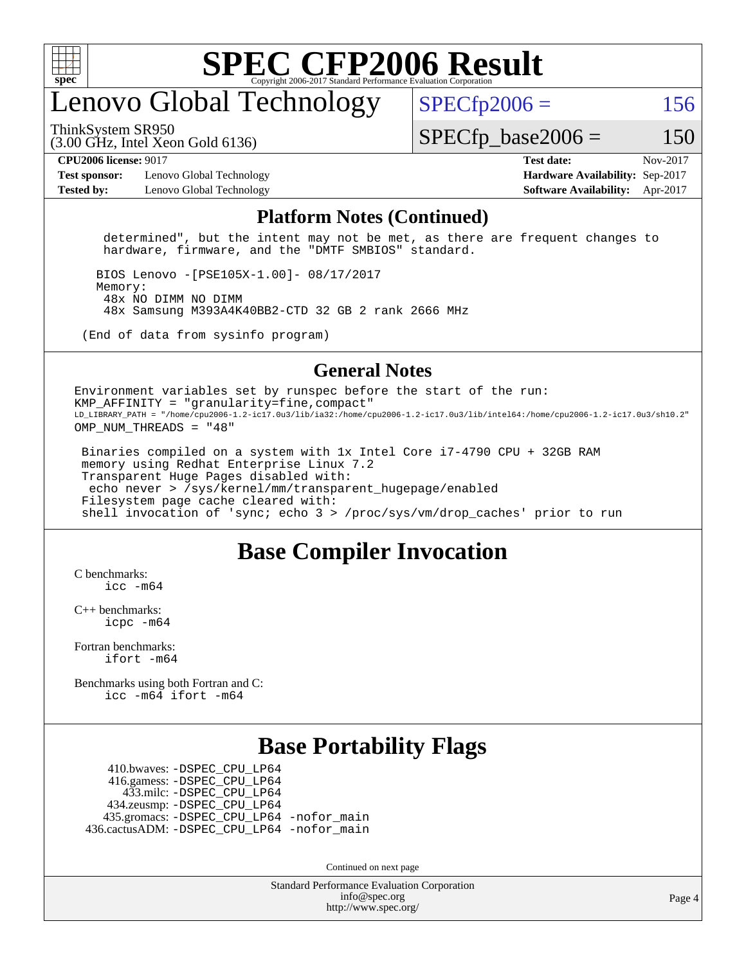

#### enovo Global Technology

ThinkSystem SR950

 $SPECTp2006 = 156$ 

(3.00 GHz, Intel Xeon Gold 6136)

 $SPECTp\_base2006 = 150$ 

**[Test sponsor:](http://www.spec.org/auto/cpu2006/Docs/result-fields.html#Testsponsor)** Lenovo Global Technology **[Hardware Availability:](http://www.spec.org/auto/cpu2006/Docs/result-fields.html#HardwareAvailability)** Sep-2017 **[Tested by:](http://www.spec.org/auto/cpu2006/Docs/result-fields.html#Testedby)** Lenovo Global Technology **[Software Availability:](http://www.spec.org/auto/cpu2006/Docs/result-fields.html#SoftwareAvailability)** Apr-2017

**[CPU2006 license:](http://www.spec.org/auto/cpu2006/Docs/result-fields.html#CPU2006license)** 9017 **[Test date:](http://www.spec.org/auto/cpu2006/Docs/result-fields.html#Testdate)** Nov-2017

#### **[Platform Notes \(Continued\)](http://www.spec.org/auto/cpu2006/Docs/result-fields.html#PlatformNotes)**

 determined", but the intent may not be met, as there are frequent changes to hardware, firmware, and the "DMTF SMBIOS" standard.

 BIOS Lenovo -[PSE105X-1.00]- 08/17/2017 Memory: 48x NO DIMM NO DIMM 48x Samsung M393A4K40BB2-CTD 32 GB 2 rank 2666 MHz

(End of data from sysinfo program)

#### **[General Notes](http://www.spec.org/auto/cpu2006/Docs/result-fields.html#GeneralNotes)**

Environment variables set by runspec before the start of the run: KMP AFFINITY = "granularity=fine, compact" LD\_LIBRARY\_PATH = "/home/cpu2006-1.2-ic17.0u3/lib/ia32:/home/cpu2006-1.2-ic17.0u3/lib/intel64:/home/cpu2006-1.2-ic17.0u3/sh10.2" OMP NUM THREADS = "48"

 Binaries compiled on a system with 1x Intel Core i7-4790 CPU + 32GB RAM memory using Redhat Enterprise Linux 7.2 Transparent Huge Pages disabled with: echo never > /sys/kernel/mm/transparent\_hugepage/enabled Filesystem page cache cleared with: shell invocation of 'sync; echo 3 > /proc/sys/vm/drop\_caches' prior to run

#### **[Base Compiler Invocation](http://www.spec.org/auto/cpu2006/Docs/result-fields.html#BaseCompilerInvocation)**

[C benchmarks](http://www.spec.org/auto/cpu2006/Docs/result-fields.html#Cbenchmarks):  $inc$   $-m64$ 

[C++ benchmarks:](http://www.spec.org/auto/cpu2006/Docs/result-fields.html#CXXbenchmarks) [icpc -m64](http://www.spec.org/cpu2006/results/res2017q4/cpu2006-20171211-51045.flags.html#user_CXXbase_intel_icpc_64bit_fc66a5337ce925472a5c54ad6a0de310)

[Fortran benchmarks](http://www.spec.org/auto/cpu2006/Docs/result-fields.html#Fortranbenchmarks): [ifort -m64](http://www.spec.org/cpu2006/results/res2017q4/cpu2006-20171211-51045.flags.html#user_FCbase_intel_ifort_64bit_ee9d0fb25645d0210d97eb0527dcc06e)

[Benchmarks using both Fortran and C](http://www.spec.org/auto/cpu2006/Docs/result-fields.html#BenchmarksusingbothFortranandC): [icc -m64](http://www.spec.org/cpu2006/results/res2017q4/cpu2006-20171211-51045.flags.html#user_CC_FCbase_intel_icc_64bit_bda6cc9af1fdbb0edc3795bac97ada53) [ifort -m64](http://www.spec.org/cpu2006/results/res2017q4/cpu2006-20171211-51045.flags.html#user_CC_FCbase_intel_ifort_64bit_ee9d0fb25645d0210d97eb0527dcc06e)

#### **[Base Portability Flags](http://www.spec.org/auto/cpu2006/Docs/result-fields.html#BasePortabilityFlags)**

 410.bwaves: [-DSPEC\\_CPU\\_LP64](http://www.spec.org/cpu2006/results/res2017q4/cpu2006-20171211-51045.flags.html#suite_basePORTABILITY410_bwaves_DSPEC_CPU_LP64) 416.gamess: [-DSPEC\\_CPU\\_LP64](http://www.spec.org/cpu2006/results/res2017q4/cpu2006-20171211-51045.flags.html#suite_basePORTABILITY416_gamess_DSPEC_CPU_LP64) 433.milc: [-DSPEC\\_CPU\\_LP64](http://www.spec.org/cpu2006/results/res2017q4/cpu2006-20171211-51045.flags.html#suite_basePORTABILITY433_milc_DSPEC_CPU_LP64) 434.zeusmp: [-DSPEC\\_CPU\\_LP64](http://www.spec.org/cpu2006/results/res2017q4/cpu2006-20171211-51045.flags.html#suite_basePORTABILITY434_zeusmp_DSPEC_CPU_LP64) 435.gromacs: [-DSPEC\\_CPU\\_LP64](http://www.spec.org/cpu2006/results/res2017q4/cpu2006-20171211-51045.flags.html#suite_basePORTABILITY435_gromacs_DSPEC_CPU_LP64) [-nofor\\_main](http://www.spec.org/cpu2006/results/res2017q4/cpu2006-20171211-51045.flags.html#user_baseLDPORTABILITY435_gromacs_f-nofor_main) 436.cactusADM: [-DSPEC\\_CPU\\_LP64](http://www.spec.org/cpu2006/results/res2017q4/cpu2006-20171211-51045.flags.html#suite_basePORTABILITY436_cactusADM_DSPEC_CPU_LP64) [-nofor\\_main](http://www.spec.org/cpu2006/results/res2017q4/cpu2006-20171211-51045.flags.html#user_baseLDPORTABILITY436_cactusADM_f-nofor_main)

Continued on next page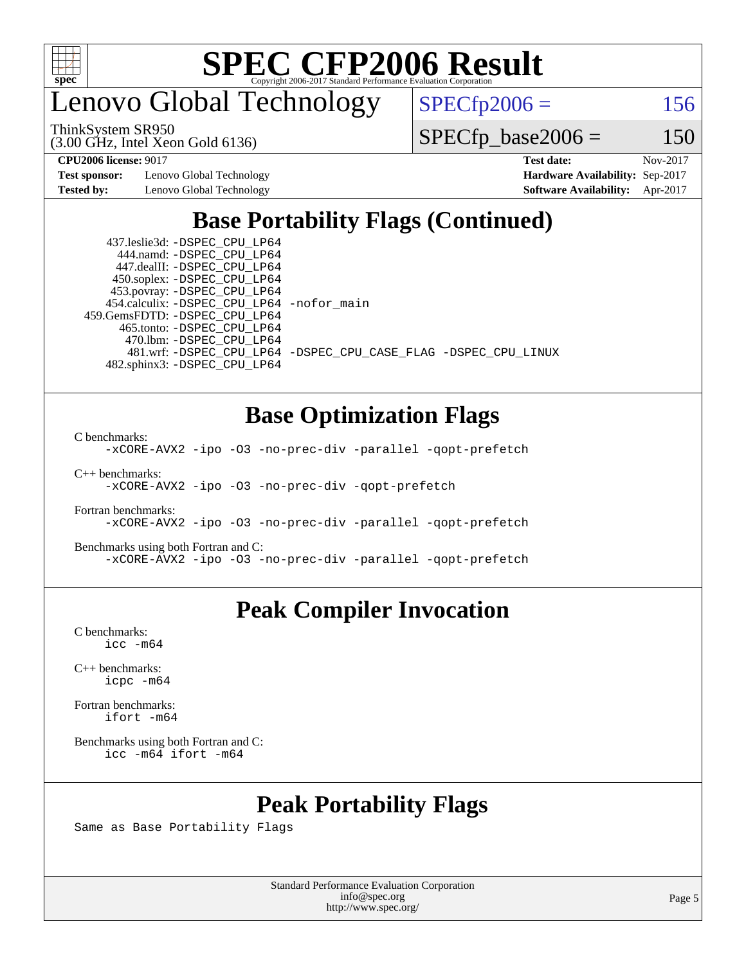

enovo Global Technology

 $SPECfp2006 = 156$  $SPECfp2006 = 156$ 

(3.00 GHz, Intel Xeon Gold 6136) ThinkSystem SR950

 $SPECfp\_base2006 = 150$ 

**[Test sponsor:](http://www.spec.org/auto/cpu2006/Docs/result-fields.html#Testsponsor)** Lenovo Global Technology **[Hardware Availability:](http://www.spec.org/auto/cpu2006/Docs/result-fields.html#HardwareAvailability)** Sep-2017

**[CPU2006 license:](http://www.spec.org/auto/cpu2006/Docs/result-fields.html#CPU2006license)** 9017 **[Test date:](http://www.spec.org/auto/cpu2006/Docs/result-fields.html#Testdate)** Nov-2017 **[Tested by:](http://www.spec.org/auto/cpu2006/Docs/result-fields.html#Testedby)** Lenovo Global Technology **[Software Availability:](http://www.spec.org/auto/cpu2006/Docs/result-fields.html#SoftwareAvailability)** Apr-2017

#### **[Base Portability Flags \(Continued\)](http://www.spec.org/auto/cpu2006/Docs/result-fields.html#BasePortabilityFlags)**

 437.leslie3d: [-DSPEC\\_CPU\\_LP64](http://www.spec.org/cpu2006/results/res2017q4/cpu2006-20171211-51045.flags.html#suite_basePORTABILITY437_leslie3d_DSPEC_CPU_LP64) 444.namd: [-DSPEC\\_CPU\\_LP64](http://www.spec.org/cpu2006/results/res2017q4/cpu2006-20171211-51045.flags.html#suite_basePORTABILITY444_namd_DSPEC_CPU_LP64) 447.dealII: [-DSPEC\\_CPU\\_LP64](http://www.spec.org/cpu2006/results/res2017q4/cpu2006-20171211-51045.flags.html#suite_basePORTABILITY447_dealII_DSPEC_CPU_LP64) 450.soplex: [-DSPEC\\_CPU\\_LP64](http://www.spec.org/cpu2006/results/res2017q4/cpu2006-20171211-51045.flags.html#suite_basePORTABILITY450_soplex_DSPEC_CPU_LP64) 453.povray: [-DSPEC\\_CPU\\_LP64](http://www.spec.org/cpu2006/results/res2017q4/cpu2006-20171211-51045.flags.html#suite_basePORTABILITY453_povray_DSPEC_CPU_LP64) 454.calculix: [-DSPEC\\_CPU\\_LP64](http://www.spec.org/cpu2006/results/res2017q4/cpu2006-20171211-51045.flags.html#suite_basePORTABILITY454_calculix_DSPEC_CPU_LP64) [-nofor\\_main](http://www.spec.org/cpu2006/results/res2017q4/cpu2006-20171211-51045.flags.html#user_baseLDPORTABILITY454_calculix_f-nofor_main) 459.GemsFDTD: [-DSPEC\\_CPU\\_LP64](http://www.spec.org/cpu2006/results/res2017q4/cpu2006-20171211-51045.flags.html#suite_basePORTABILITY459_GemsFDTD_DSPEC_CPU_LP64) 465.tonto: [-DSPEC\\_CPU\\_LP64](http://www.spec.org/cpu2006/results/res2017q4/cpu2006-20171211-51045.flags.html#suite_basePORTABILITY465_tonto_DSPEC_CPU_LP64) 470.lbm: [-DSPEC\\_CPU\\_LP64](http://www.spec.org/cpu2006/results/res2017q4/cpu2006-20171211-51045.flags.html#suite_basePORTABILITY470_lbm_DSPEC_CPU_LP64) 482.sphinx3: [-DSPEC\\_CPU\\_LP64](http://www.spec.org/cpu2006/results/res2017q4/cpu2006-20171211-51045.flags.html#suite_basePORTABILITY482_sphinx3_DSPEC_CPU_LP64)

481.wrf: [-DSPEC\\_CPU\\_LP64](http://www.spec.org/cpu2006/results/res2017q4/cpu2006-20171211-51045.flags.html#suite_basePORTABILITY481_wrf_DSPEC_CPU_LP64) [-DSPEC\\_CPU\\_CASE\\_FLAG](http://www.spec.org/cpu2006/results/res2017q4/cpu2006-20171211-51045.flags.html#b481.wrf_baseCPORTABILITY_DSPEC_CPU_CASE_FLAG) [-DSPEC\\_CPU\\_LINUX](http://www.spec.org/cpu2006/results/res2017q4/cpu2006-20171211-51045.flags.html#b481.wrf_baseCPORTABILITY_DSPEC_CPU_LINUX)

#### **[Base Optimization Flags](http://www.spec.org/auto/cpu2006/Docs/result-fields.html#BaseOptimizationFlags)**

[C benchmarks](http://www.spec.org/auto/cpu2006/Docs/result-fields.html#Cbenchmarks):

[-xCORE-AVX2](http://www.spec.org/cpu2006/results/res2017q4/cpu2006-20171211-51045.flags.html#user_CCbase_f-xCORE-AVX2) [-ipo](http://www.spec.org/cpu2006/results/res2017q4/cpu2006-20171211-51045.flags.html#user_CCbase_f-ipo) [-O3](http://www.spec.org/cpu2006/results/res2017q4/cpu2006-20171211-51045.flags.html#user_CCbase_f-O3) [-no-prec-div](http://www.spec.org/cpu2006/results/res2017q4/cpu2006-20171211-51045.flags.html#user_CCbase_f-no-prec-div) [-parallel](http://www.spec.org/cpu2006/results/res2017q4/cpu2006-20171211-51045.flags.html#user_CCbase_f-parallel) [-qopt-prefetch](http://www.spec.org/cpu2006/results/res2017q4/cpu2006-20171211-51045.flags.html#user_CCbase_f-qopt-prefetch)

[C++ benchmarks:](http://www.spec.org/auto/cpu2006/Docs/result-fields.html#CXXbenchmarks)

[-xCORE-AVX2](http://www.spec.org/cpu2006/results/res2017q4/cpu2006-20171211-51045.flags.html#user_CXXbase_f-xCORE-AVX2) [-ipo](http://www.spec.org/cpu2006/results/res2017q4/cpu2006-20171211-51045.flags.html#user_CXXbase_f-ipo) [-O3](http://www.spec.org/cpu2006/results/res2017q4/cpu2006-20171211-51045.flags.html#user_CXXbase_f-O3) [-no-prec-div](http://www.spec.org/cpu2006/results/res2017q4/cpu2006-20171211-51045.flags.html#user_CXXbase_f-no-prec-div) [-qopt-prefetch](http://www.spec.org/cpu2006/results/res2017q4/cpu2006-20171211-51045.flags.html#user_CXXbase_f-qopt-prefetch)

[Fortran benchmarks](http://www.spec.org/auto/cpu2006/Docs/result-fields.html#Fortranbenchmarks): [-xCORE-AVX2](http://www.spec.org/cpu2006/results/res2017q4/cpu2006-20171211-51045.flags.html#user_FCbase_f-xCORE-AVX2) [-ipo](http://www.spec.org/cpu2006/results/res2017q4/cpu2006-20171211-51045.flags.html#user_FCbase_f-ipo) [-O3](http://www.spec.org/cpu2006/results/res2017q4/cpu2006-20171211-51045.flags.html#user_FCbase_f-O3) [-no-prec-div](http://www.spec.org/cpu2006/results/res2017q4/cpu2006-20171211-51045.flags.html#user_FCbase_f-no-prec-div) [-parallel](http://www.spec.org/cpu2006/results/res2017q4/cpu2006-20171211-51045.flags.html#user_FCbase_f-parallel) [-qopt-prefetch](http://www.spec.org/cpu2006/results/res2017q4/cpu2006-20171211-51045.flags.html#user_FCbase_f-qopt-prefetch)

[Benchmarks using both Fortran and C](http://www.spec.org/auto/cpu2006/Docs/result-fields.html#BenchmarksusingbothFortranandC): [-xCORE-AVX2](http://www.spec.org/cpu2006/results/res2017q4/cpu2006-20171211-51045.flags.html#user_CC_FCbase_f-xCORE-AVX2) [-ipo](http://www.spec.org/cpu2006/results/res2017q4/cpu2006-20171211-51045.flags.html#user_CC_FCbase_f-ipo) [-O3](http://www.spec.org/cpu2006/results/res2017q4/cpu2006-20171211-51045.flags.html#user_CC_FCbase_f-O3) [-no-prec-div](http://www.spec.org/cpu2006/results/res2017q4/cpu2006-20171211-51045.flags.html#user_CC_FCbase_f-no-prec-div) [-parallel](http://www.spec.org/cpu2006/results/res2017q4/cpu2006-20171211-51045.flags.html#user_CC_FCbase_f-parallel) [-qopt-prefetch](http://www.spec.org/cpu2006/results/res2017q4/cpu2006-20171211-51045.flags.html#user_CC_FCbase_f-qopt-prefetch)

#### **[Peak Compiler Invocation](http://www.spec.org/auto/cpu2006/Docs/result-fields.html#PeakCompilerInvocation)**

[C benchmarks](http://www.spec.org/auto/cpu2006/Docs/result-fields.html#Cbenchmarks): [icc -m64](http://www.spec.org/cpu2006/results/res2017q4/cpu2006-20171211-51045.flags.html#user_CCpeak_intel_icc_64bit_bda6cc9af1fdbb0edc3795bac97ada53)

[C++ benchmarks:](http://www.spec.org/auto/cpu2006/Docs/result-fields.html#CXXbenchmarks) [icpc -m64](http://www.spec.org/cpu2006/results/res2017q4/cpu2006-20171211-51045.flags.html#user_CXXpeak_intel_icpc_64bit_fc66a5337ce925472a5c54ad6a0de310)

[Fortran benchmarks](http://www.spec.org/auto/cpu2006/Docs/result-fields.html#Fortranbenchmarks): [ifort -m64](http://www.spec.org/cpu2006/results/res2017q4/cpu2006-20171211-51045.flags.html#user_FCpeak_intel_ifort_64bit_ee9d0fb25645d0210d97eb0527dcc06e)

[Benchmarks using both Fortran and C](http://www.spec.org/auto/cpu2006/Docs/result-fields.html#BenchmarksusingbothFortranandC): [icc -m64](http://www.spec.org/cpu2006/results/res2017q4/cpu2006-20171211-51045.flags.html#user_CC_FCpeak_intel_icc_64bit_bda6cc9af1fdbb0edc3795bac97ada53) [ifort -m64](http://www.spec.org/cpu2006/results/res2017q4/cpu2006-20171211-51045.flags.html#user_CC_FCpeak_intel_ifort_64bit_ee9d0fb25645d0210d97eb0527dcc06e)

#### **[Peak Portability Flags](http://www.spec.org/auto/cpu2006/Docs/result-fields.html#PeakPortabilityFlags)**

Same as Base Portability Flags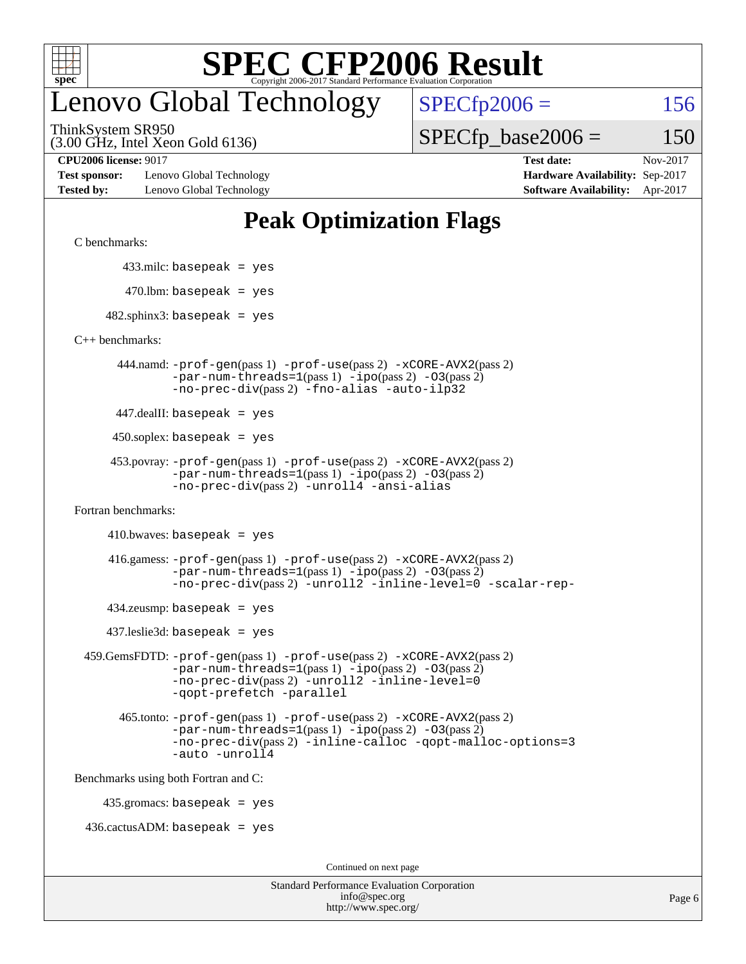

### enovo Global Technology

ThinkSystem SR950

(3.00 GHz, Intel Xeon Gold 6136)

**[Test sponsor:](http://www.spec.org/auto/cpu2006/Docs/result-fields.html#Testsponsor)** Lenovo Global Technology **[Hardware Availability:](http://www.spec.org/auto/cpu2006/Docs/result-fields.html#HardwareAvailability)** Sep-2017 **[Tested by:](http://www.spec.org/auto/cpu2006/Docs/result-fields.html#Testedby)** Lenovo Global Technology **[Software Availability:](http://www.spec.org/auto/cpu2006/Docs/result-fields.html#SoftwareAvailability)** Apr-2017

 $SPECTp2006 = 156$ 

 $SPECTp\_base2006 = 150$ 

**[CPU2006 license:](http://www.spec.org/auto/cpu2006/Docs/result-fields.html#CPU2006license)** 9017 **[Test date:](http://www.spec.org/auto/cpu2006/Docs/result-fields.html#Testdate)** Nov-2017

#### **[Peak Optimization Flags](http://www.spec.org/auto/cpu2006/Docs/result-fields.html#PeakOptimizationFlags)**

[C benchmarks](http://www.spec.org/auto/cpu2006/Docs/result-fields.html#Cbenchmarks):

433.milc: basepeak = yes

 $470.$ lbm: basepeak = yes

 $482$ .sphinx3: basepeak = yes

[C++ benchmarks:](http://www.spec.org/auto/cpu2006/Docs/result-fields.html#CXXbenchmarks)

 444.namd: [-prof-gen](http://www.spec.org/cpu2006/results/res2017q4/cpu2006-20171211-51045.flags.html#user_peakPASS1_CXXFLAGSPASS1_LDFLAGS444_namd_prof_gen_e43856698f6ca7b7e442dfd80e94a8fc)(pass 1) [-prof-use](http://www.spec.org/cpu2006/results/res2017q4/cpu2006-20171211-51045.flags.html#user_peakPASS2_CXXFLAGSPASS2_LDFLAGS444_namd_prof_use_bccf7792157ff70d64e32fe3e1250b55)(pass 2) [-xCORE-AVX2](http://www.spec.org/cpu2006/results/res2017q4/cpu2006-20171211-51045.flags.html#user_peakPASS2_CXXFLAGSPASS2_LDFLAGS444_namd_f-xCORE-AVX2)(pass 2)  $-par-num-threads=1(pass 1) -ipo(pass 2) -O3(pass 2)$  $-par-num-threads=1(pass 1) -ipo(pass 2) -O3(pass 2)$  $-par-num-threads=1(pass 1) -ipo(pass 2) -O3(pass 2)$  $-par-num-threads=1(pass 1) -ipo(pass 2) -O3(pass 2)$  $-par-num-threads=1(pass 1) -ipo(pass 2) -O3(pass 2)$  $-par-num-threads=1(pass 1) -ipo(pass 2) -O3(pass 2)$ [-no-prec-div](http://www.spec.org/cpu2006/results/res2017q4/cpu2006-20171211-51045.flags.html#user_peakPASS2_CXXFLAGSPASS2_LDFLAGS444_namd_f-no-prec-div)(pass 2) [-fno-alias](http://www.spec.org/cpu2006/results/res2017q4/cpu2006-20171211-51045.flags.html#user_peakCXXOPTIMIZEOPTIMIZE444_namd_f-no-alias_694e77f6c5a51e658e82ccff53a9e63a) [-auto-ilp32](http://www.spec.org/cpu2006/results/res2017q4/cpu2006-20171211-51045.flags.html#user_peakCXXOPTIMIZE444_namd_f-auto-ilp32)

447.dealII: basepeak = yes

 $450$ .soplex: basepeak = yes

```
 453.povray: -prof-gen(pass 1) -prof-use(pass 2) -xCORE-AVX2(pass 2)
  -par-num-threads=1-ipo-O3(pass 2)-no-prec-div(pass 2) -unroll4 -ansi-alias
```
[Fortran benchmarks](http://www.spec.org/auto/cpu2006/Docs/result-fields.html#Fortranbenchmarks):

```
410.bwaves: basepeak = yes
```

```
 416.gamess: -prof-gen(pass 1) -prof-use(pass 2) -xCORE-AVX2(pass 2)
  -par-num-threads=1-ipo-O3(pass 2)-no-prec-div(pass 2) -unroll2 -inline-level=0 -scalar-rep-
```
 $434$ .zeusmp: basepeak = yes

437.leslie3d: basepeak = yes

```
 459.GemsFDTD: -prof-gen(pass 1) -prof-use(pass 2) -xCORE-AVX2(pass 2)
     -par-num-threads=1-ipo-O3(pass 2)-no-prec-div(pass 2) -unroll2 -inline-level=0
     -qopt-prefetch -parallel
```

```
 465.tonto: -prof-gen(pass 1) -prof-use(pass 2) -xCORE-AVX2(pass 2)
-par-num-threads=1-ipo-O3(pass 2)-no-prec-div-inline-calloc-qopt-malloc-options=3
-auto -unroll4
```
[Benchmarks using both Fortran and C](http://www.spec.org/auto/cpu2006/Docs/result-fields.html#BenchmarksusingbothFortranandC):

435.gromacs: basepeak = yes

 $436.cactusADM: basepeak = yes$ 

Continued on next page

| <b>Standard Performance Evaluation Corporation</b> |
|----------------------------------------------------|
| info@spec.org                                      |
| http://www.spec.org/                               |